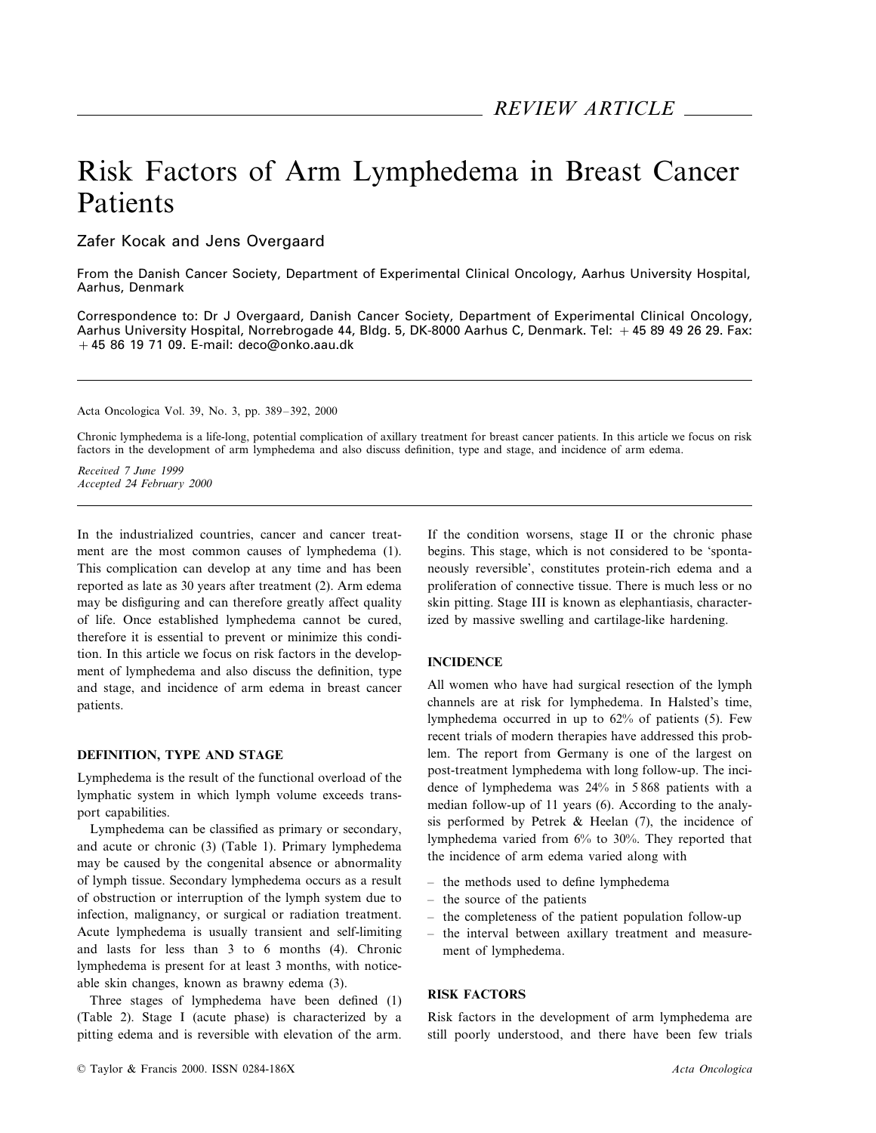# Risk Factors of Arm Lymphedema in Breast Cancer Patients

Zafer Kocak and Jens Overgaard

From the Danish Cancer Society, Department of Experimental Clinical Oncology, Aarhus University Hospital, Aarhus, Denmark

Correspondence to: Dr J Overgaard, Danish Cancer Society, Department of Experimental Clinical Oncology, Aarhus University Hospital, Norrebrogade 44, Bldg. 5, DK-8000 Aarhus C, Denmark. Tel: +45 89 49 26 29. Fax:  $+45$  86 19 71 09. E-mail: deco@onko.aau.dk

Acta Oncologica Vol. 39, No. 3, pp. 389–392, 2000

Chronic lymphedema is a life-long, potential complication of axillary treatment for breast cancer patients. In this article we focus on risk factors in the development of arm lymphedema and also discuss definition, type and stage, and incidence of arm edema.

*Recei*6*ed* <sup>7</sup> *June* <sup>1999</sup> *Accepted* <sup>24</sup> *February* 2000

In the industrialized countries, cancer and cancer treatment are the most common causes of lymphedema (1). This complication can develop at any time and has been reported as late as 30 years after treatment (2). Arm edema may be disfiguring and can therefore greatly affect quality of life. Once established lymphedema cannot be cured, therefore it is essential to prevent or minimize this condition. In this article we focus on risk factors in the development of lymphedema and also discuss the definition, type and stage, and incidence of arm edema in breast cancer patients.

#### **DEFINITION, TYPE AND STAGE**

Lymphedema is the result of the functional overload of the lymphatic system in which lymph volume exceeds transport capabilities.

Lymphedema can be classified as primary or secondary, and acute or chronic (3) (Table 1). Primary lymphedema may be caused by the congenital absence or abnormality of lymph tissue. Secondary lymphedema occurs as a result of obstruction or interruption of the lymph system due to infection, malignancy, or surgical or radiation treatment. Acute lymphedema is usually transient and self-limiting and lasts for less than 3 to 6 months (4). Chronic lymphedema is present for at least 3 months, with noticeable skin changes, known as brawny edema (3).

Three stages of lymphedema have been defined (1) (Table 2). Stage I (acute phase) is characterized by a pitting edema and is reversible with elevation of the arm.

If the condition worsens, stage II or the chronic phase begins. This stage, which is not considered to be 'spontaneously reversible', constitutes protein-rich edema and a proliferation of connective tissue. There is much less or no skin pitting. Stage III is known as elephantiasis, characterized by massive swelling and cartilage-like hardening.

## **INCIDENCE**

All women who have had surgical resection of the lymph channels are at risk for lymphedema. In Halsted's time, lymphedema occurred in up to 62% of patients (5). Few recent trials of modern therapies have addressed this problem. The report from Germany is one of the largest on post-treatment lymphedema with long follow-up. The incidence of lymphedema was 24% in 5 868 patients with a median follow-up of 11 years (6). According to the analysis performed by Petrek & Heelan (7), the incidence of lymphedema varied from 6% to 30%. They reported that the incidence of arm edema varied along with

- the methods used to define lymphedema
- the source of the patients
- the completeness of the patient population follow-up
- the interval between axillary treatment and measurement of lymphedema.

#### **RISK FACTORS**

Risk factors in the development of arm lymphedema are still poorly understood, and there have been few trials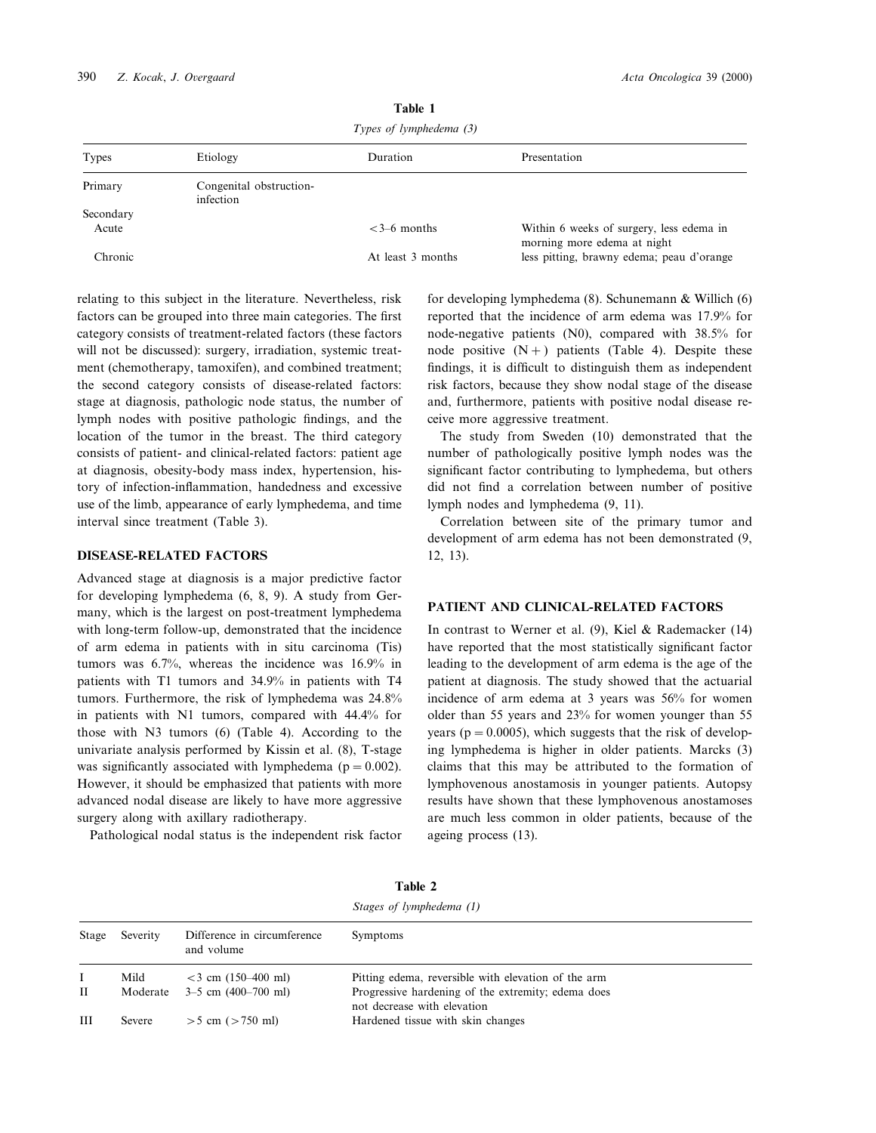| $\mu$ ypcs of <i>cympheticma</i> (3) |                                      |                   |                                                                          |
|--------------------------------------|--------------------------------------|-------------------|--------------------------------------------------------------------------|
| Types                                | Etiology                             | Duration          | Presentation                                                             |
| Primary                              | Congenital obstruction-<br>infection |                   |                                                                          |
| Secondary<br>Acute                   |                                      | $<3-6$ months     | Within 6 weeks of surgery, less edema in                                 |
| Chronic                              |                                      | At least 3 months | morning more edema at night<br>less pitting, brawny edema; peau d'orange |

**Table 1**

*Types of lymphedema* (3)

relating to this subject in the literature. Nevertheless, risk factors can be grouped into three main categories. The first category consists of treatment-related factors (these factors will not be discussed): surgery, irradiation, systemic treatment (chemotherapy, tamoxifen), and combined treatment; the second category consists of disease-related factors: stage at diagnosis, pathologic node status, the number of lymph nodes with positive pathologic findings, and the location of the tumor in the breast. The third category consists of patient- and clinical-related factors: patient age at diagnosis, obesity-body mass index, hypertension, history of infection-inflammation, handedness and excessive use of the limb, appearance of early lymphedema, and time interval since treatment (Table 3).

#### **DISEASE-RELATED FACTORS**

Advanced stage at diagnosis is a major predictive factor for developing lymphedema (6, 8, 9). A study from Germany, which is the largest on post-treatment lymphedema with long-term follow-up, demonstrated that the incidence of arm edema in patients with in situ carcinoma (Tis) tumors was 6.7%, whereas the incidence was 16.9% in patients with T1 tumors and 34.9% in patients with T4 tumors. Furthermore, the risk of lymphedema was 24.8% in patients with N1 tumors, compared with 44.4% for those with N3 tumors (6) (Table 4). According to the univariate analysis performed by Kissin et al. (8), T-stage was significantly associated with lymphedema ( $p = 0.002$ ). However, it should be emphasized that patients with more advanced nodal disease are likely to have more aggressive surgery along with axillary radiotherapy.

Pathological nodal status is the independent risk factor

for developing lymphedema (8). Schunemann & Willich (6) reported that the incidence of arm edema was 17.9% for node-negative patients (N0), compared with 38.5% for node positive  $(N+)$  patients (Table 4). Despite these findings, it is difficult to distinguish them as independent risk factors, because they show nodal stage of the disease and, furthermore, patients with positive nodal disease receive more aggressive treatment.

The study from Sweden (10) demonstrated that the number of pathologically positive lymph nodes was the significant factor contributing to lymphedema, but others did not find a correlation between number of positive lymph nodes and lymphedema (9, 11).

Correlation between site of the primary tumor and development of arm edema has not been demonstrated (9, 12, 13).

### **PATIENT AND CLINICAL-RELATED FACTORS**

In contrast to Werner et al. (9), Kiel & Rademacker (14) have reported that the most statistically significant factor leading to the development of arm edema is the age of the patient at diagnosis. The study showed that the actuarial incidence of arm edema at 3 years was 56% for women older than 55 years and 23% for women younger than 55 years ( $p = 0.0005$ ), which suggests that the risk of developing lymphedema is higher in older patients. Marcks (3) claims that this may be attributed to the formation of lymphovenous anostamosis in younger patients. Autopsy results have shown that these lymphovenous anostamoses are much less common in older patients, because of the ageing process (13).

|       |          |                                           | Stages of lymphedema (1)                                                          |  |
|-------|----------|-------------------------------------------|-----------------------------------------------------------------------------------|--|
| Stage | Severity | Difference in circumference<br>and volume | Symptoms                                                                          |  |
|       | Mild     | $<$ 3 cm (150–400 ml)                     | Pitting edema, reversible with elevation of the arm                               |  |
| П     | Moderate | $3-5$ cm $(400-700$ ml)                   | Progressive hardening of the extremity; edema does<br>not decrease with elevation |  |
| Ш     | Severe   | $>$ 5 cm ( $>$ 750 ml)                    | Hardened tissue with skin changes                                                 |  |

**Table 2**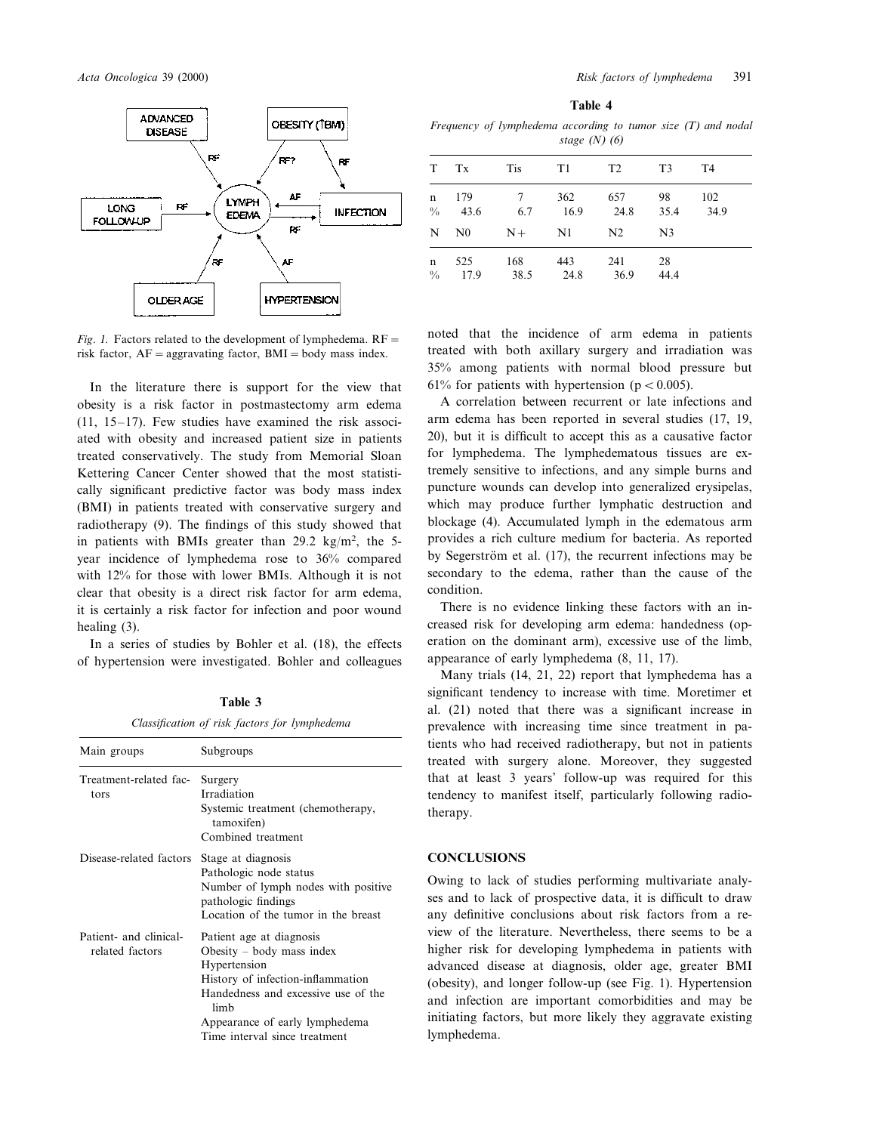

*Fig. 1.* Factors related to the development of lymphedema.  $RF=$ risk factor,  $AF =$ aggravating factor,  $BMI =$ body mass index.

In the literature there is support for the view that obesity is a risk factor in postmastectomy arm edema (11, 15–17). Few studies have examined the risk associated with obesity and increased patient size in patients treated conservatively. The study from Memorial Sloan Kettering Cancer Center showed that the most statistically significant predictive factor was body mass index (BMI) in patients treated with conservative surgery and radiotherapy (9). The findings of this study showed that in patients with BMIs greater than  $29.2 \text{ kg/m}^2$ , the 5year incidence of lymphedema rose to 36% compared with 12% for those with lower BMIs. Although it is not clear that obesity is a direct risk factor for arm edema, it is certainly a risk factor for infection and poor wound healing (3).

In a series of studies by Bohler et al. (18), the effects of hypertension were investigated. Bohler and colleagues

| anı<br>× |  |
|----------|--|
|----------|--|

*Classification of risk factors for lymphedema*

| Main groups                               | Subgroups                                                                                                                                                                                                                      |  |
|-------------------------------------------|--------------------------------------------------------------------------------------------------------------------------------------------------------------------------------------------------------------------------------|--|
| Treatment-related fac-<br>tors            | Surgery<br>Irradiation<br>Systemic treatment (chemotherapy,<br>tamoxifen)<br>Combined treatment                                                                                                                                |  |
| Disease-related factors                   | Stage at diagnosis<br>Pathologic node status<br>Number of lymph nodes with positive<br>pathologic findings<br>Location of the tumor in the breast                                                                              |  |
| Patient- and clinical-<br>related factors | Patient age at diagnosis<br>Obesity $-$ body mass index<br>Hypertension<br>History of infection-inflammation<br>Handedness and excessive use of the<br>limh<br>Appearance of early lymphedema<br>Time interval since treatment |  |

| .<br>۰,<br>×<br>۰. |  |
|--------------------|--|
|--------------------|--|

*Frequency of lymphedema according to tumor size* (*T*) *and nodal stage* (*N*) (6)

|               | T Tx               | Tis T1           |                 | T2          | T3             | <b>T4</b>        |
|---------------|--------------------|------------------|-----------------|-------------|----------------|------------------|
|               | n 179<br>$\%$ 43.6 | $7\overline{ }$  | 362<br>6.7 16.9 | 657<br>24.8 | 98             | 102<br>35.4 34.9 |
|               | $N$ $N0$           | $N+ N1$          |                 | N2          | N <sub>3</sub> |                  |
| $\frac{0}{0}$ | n 525<br>17.9      | 168<br>38.5 24.8 | 443             | 241<br>36.9 | 28<br>-44.4    |                  |

noted that the incidence of arm edema in patients treated with both axillary surgery and irradiation was 35% among patients with normal blood pressure but 61% for patients with hypertension ( $p < 0.005$ ).

A correlation between recurrent or late infections and arm edema has been reported in several studies (17, 19, 20), but it is difficult to accept this as a causative factor for lymphedema. The lymphedematous tissues are extremely sensitive to infections, and any simple burns and puncture wounds can develop into generalized erysipelas, which may produce further lymphatic destruction and blockage (4). Accumulated lymph in the edematous arm provides a rich culture medium for bacteria. As reported by Segerström et al. (17), the recurrent infections may be secondary to the edema, rather than the cause of the condition.

There is no evidence linking these factors with an increased risk for developing arm edema: handedness (operation on the dominant arm), excessive use of the limb, appearance of early lymphedema (8, 11, 17).

Many trials (14, 21, 22) report that lymphedema has a significant tendency to increase with time. Moretimer et al. (21) noted that there was a significant increase in prevalence with increasing time since treatment in patients who had received radiotherapy, but not in patients treated with surgery alone. Moreover, they suggested that at least 3 years' follow-up was required for this tendency to manifest itself, particularly following radiotherapy.

#### **CONCLUSIONS**

Owing to lack of studies performing multivariate analyses and to lack of prospective data, it is difficult to draw any definitive conclusions about risk factors from a review of the literature. Nevertheless, there seems to be a higher risk for developing lymphedema in patients with advanced disease at diagnosis, older age, greater BMI (obesity), and longer follow-up (see Fig. 1). Hypertension and infection are important comorbidities and may be initiating factors, but more likely they aggravate existing lymphedema.